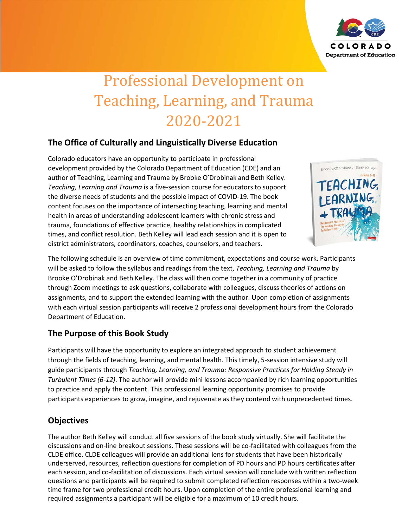

# Professional Development on Teaching, Learning, and Trauma 2020-2021

# **The Office of Culturally and Linguistically Diverse Education**

Colorado educators have an opportunity to participate in professional development provided by the Colorado Department of Education (CDE) and an author of Teaching, Learning and Trauma by Brooke O'Drobinak and Beth Kelley. *Teaching, Learning and Trauma* is a five-session course for educators to support the diverse needs of students and the possible impact of COVID-19. The book content focuses on the importance of intersecting teaching, learning and mental health in areas of understanding adolescent learners with chronic stress and trauma, foundations of effective practice, healthy relationships in complicated times, and conflict resolution. Beth Kelley will lead each session and it is open to district administrators, coordinators, coaches, counselors, and teachers.



The following schedule is an overview of time commitment, expectations and course work. Participants will be asked to follow the syllabus and readings from the text, *Teaching, Learning and Trauma* by Brooke O'Drobinak and Beth Kelley. The class will then come together in a community of practice through Zoom meetings to ask questions, collaborate with colleagues, discuss theories of actions on assignments, and to support the extended learning with the author. Upon completion of assignments with each virtual session participants will receive 2 professional development hours from the Colorado Department of Education.

## **The Purpose of this Book Study**

Participants will have the opportunity to explore an integrated approach to student achievement through the fields of teaching, learning, and mental health. This timely, 5-session intensive study will guide participants through *Teaching, Learning, and Trauma: Responsive Practices for Holding Steady in Turbulent Times (6-12)*. The author will provide mini lessons accompanied by rich learning opportunities to practice and apply the content. This professional learning opportunity promises to provide participants experiences to grow, imagine, and rejuvenate as they contend with unprecedented times.

## **Objectives**

The author Beth Kelley will conduct all five sessions of the book study virtually. She will facilitate the discussions and on-line breakout sessions. These sessions will be co-facilitated with colleagues from the CLDE office. CLDE colleagues will provide an additional lens for students that have been historically underserved, resources, reflection questions for completion of PD hours and PD hours certificates after each session, and co-facilitation of discussions. Each virtual session will conclude with written reflection questions and participants will be required to submit completed reflection responses within a two-week time frame for two professional credit hours. Upon completion of the entire professional learning and required assignments a participant will be eligible for a maximum of 10 credit hours.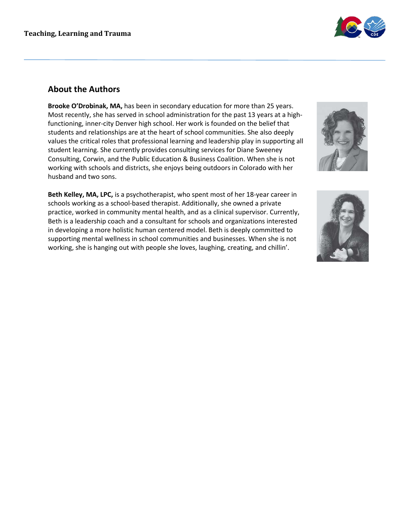

#### **About the Authors**

**Brooke O'Drobinak, MA,** has been in secondary education for more than 25 years. Most recently, she has served in school administration for the past 13 years at a highfunctioning, inner-city Denver high school. Her work is founded on the belief that students and relationships are at the heart of school communities. She also deeply values the critical roles that professional learning and leadership play in supporting all student learning. She currently provides consulting services for Diane Sweeney Consulting, Corwin, and the Public Education & Business Coalition. When she is not working with schools and districts, she enjoys being outdoors in Colorado with her husband and two sons.

**Beth Kelley, MA, LPC,** is a psychotherapist, who spent most of her 18-year career in schools working as a school-based therapist. Additionally, she owned a private practice, worked in community mental health, and as a clinical supervisor. Currently, Beth is a leadership coach and a consultant for schools and organizations interested in developing a more holistic human centered model. Beth is deeply committed to supporting mental wellness in school communities and businesses. When she is not working, she is hanging out with people she loves, laughing, creating, and chillin'.



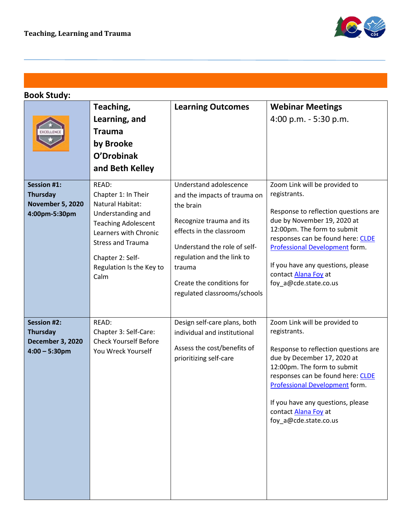

# **Book Study:**

|                                                                                      | Teaching,<br>Learning, and<br><b>Trauma</b><br>by Brooke<br>O'Drobinak<br>and Beth Kelley                                                                                                                        | <b>Learning Outcomes</b>                                                                                                                                                                                                                                         | <b>Webinar Meetings</b><br>4:00 p.m. - 5:30 p.m.                                                                                                                                                                                                                                                                 |
|--------------------------------------------------------------------------------------|------------------------------------------------------------------------------------------------------------------------------------------------------------------------------------------------------------------|------------------------------------------------------------------------------------------------------------------------------------------------------------------------------------------------------------------------------------------------------------------|------------------------------------------------------------------------------------------------------------------------------------------------------------------------------------------------------------------------------------------------------------------------------------------------------------------|
| <b>Session #1:</b><br><b>Thursday</b><br><b>November 5, 2020</b><br>4:00pm-5:30pm    | READ:<br>Chapter 1: In Their<br>Natural Habitat:<br>Understanding and<br><b>Teaching Adolescent</b><br>Learners with Chronic<br><b>Stress and Trauma</b><br>Chapter 2: Self-<br>Regulation Is the Key to<br>Calm | Understand adolescence<br>and the impacts of trauma on<br>the brain<br>Recognize trauma and its<br>effects in the classroom<br>Understand the role of self-<br>regulation and the link to<br>trauma<br>Create the conditions for<br>regulated classrooms/schools | Zoom Link will be provided to<br>registrants.<br>Response to reflection questions are<br>due by November 19, 2020 at<br>12:00pm. The form to submit<br>responses can be found here: CLDE<br>Professional Development form.<br>If you have any questions, please<br>contact Alana Foy at<br>foy_a@cde.state.co.us |
| <b>Session #2:</b><br><b>Thursday</b><br><b>December 3, 2020</b><br>$4:00 - 5:30$ pm | READ:<br>Chapter 3: Self-Care:<br><b>Check Yourself Before</b><br>You Wreck Yourself                                                                                                                             | Design self-care plans, both<br>individual and institutional<br>Assess the cost/benefits of<br>prioritizing self-care                                                                                                                                            | Zoom Link will be provided to<br>registrants.<br>Response to reflection questions are<br>due by December 17, 2020 at<br>12:00pm. The form to submit<br>responses can be found here: CLDE<br>Professional Development form.<br>If you have any questions, please<br>contact Alana Foy at<br>foy_a@cde.state.co.us |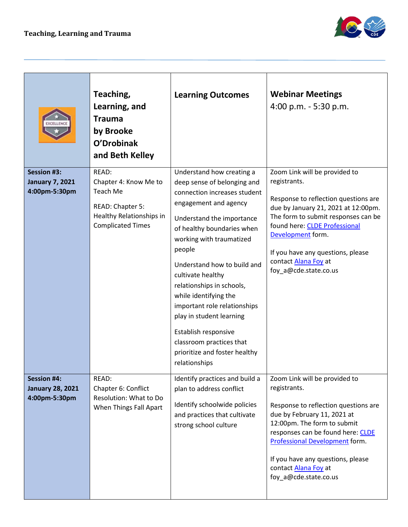

|                                                                | Teaching,<br>Learning, and<br><b>Trauma</b><br>by Brooke<br>O'Drobinak<br>and Beth Kelley                              | <b>Learning Outcomes</b>                                                                                                                                                                                                                                                                                                                                                                                                                                                                       | <b>Webinar Meetings</b><br>4:00 p.m. - 5:30 p.m.                                                                                                                                                                                                                                                                        |
|----------------------------------------------------------------|------------------------------------------------------------------------------------------------------------------------|------------------------------------------------------------------------------------------------------------------------------------------------------------------------------------------------------------------------------------------------------------------------------------------------------------------------------------------------------------------------------------------------------------------------------------------------------------------------------------------------|-------------------------------------------------------------------------------------------------------------------------------------------------------------------------------------------------------------------------------------------------------------------------------------------------------------------------|
| <b>Session #3:</b><br><b>January 7, 2021</b><br>4:00pm-5:30pm  | READ:<br>Chapter 4: Know Me to<br>Teach Me<br>READ: Chapter 5:<br>Healthy Relationships in<br><b>Complicated Times</b> | Understand how creating a<br>deep sense of belonging and<br>connection increases student<br>engagement and agency<br>Understand the importance<br>of healthy boundaries when<br>working with traumatized<br>people<br>Understand how to build and<br>cultivate healthy<br>relationships in schools,<br>while identifying the<br>important role relationships<br>play in student learning<br>Establish responsive<br>classroom practices that<br>prioritize and foster healthy<br>relationships | Zoom Link will be provided to<br>registrants.<br>Response to reflection questions are<br>due by January 21, 2021 at 12:00pm.<br>The form to submit responses can be<br>found here: CLDE Professional<br>Development form.<br>If you have any questions, please<br>contact Alana Foy at<br>foy_a@cde.state.co.us         |
| <b>Session #4:</b><br><b>January 28, 2021</b><br>4:00pm-5:30pm | READ:<br>Chapter 6: Conflict<br>Resolution: What to Do<br>When Things Fall Apart                                       | Identify practices and build a<br>plan to address conflict<br>Identify schoolwide policies<br>and practices that cultivate<br>strong school culture                                                                                                                                                                                                                                                                                                                                            | Zoom Link will be provided to<br>registrants.<br>Response to reflection questions are<br>due by February 11, 2021 at<br>12:00pm. The form to submit<br>responses can be found here: CLDE<br><b>Professional Development form.</b><br>If you have any questions, please<br>contact Alana Foy at<br>foy_a@cde.state.co.us |